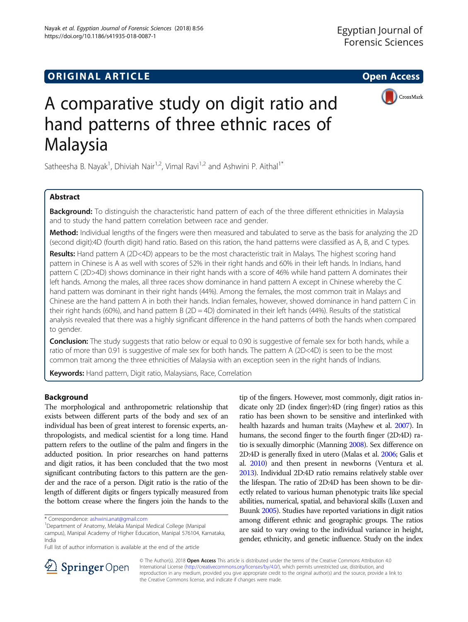https://doi.org/10.1186/s41935-018-0087-1

Nayak et al. Egyptian Journal of Forensic Sciences (2018) 8:56



# A comparative study on digit ratio and hand patterns of three ethnic races of Malaysia

Satheesha B. Nayak<sup>1</sup>, Dhiviah Nair<sup>1,2</sup>, Vimal Ravi<sup>1,2</sup> and Ashwini P. Aithal<sup>1\*</sup>

# Abstract

Background: To distinguish the characteristic hand pattern of each of the three different ethnicities in Malaysia and to study the hand pattern correlation between race and gender.

Method: Individual lengths of the fingers were then measured and tabulated to serve as the basis for analyzing the 2D (second digit):4D (fourth digit) hand ratio. Based on this ration, the hand patterns were classified as A, B, and C types.

Results: Hand pattern A (2D<4D) appears to be the most characteristic trait in Malays. The highest scoring hand pattern in Chinese is A as well with scores of 52% in their right hands and 60% in their left hands. In Indians, hand pattern C (2D>4D) shows dominance in their right hands with a score of 46% while hand pattern A dominates their left hands. Among the males, all three races show dominance in hand pattern A except in Chinese whereby the C hand pattern was dominant in their right hands (44%). Among the females, the most common trait in Malays and Chinese are the hand pattern A in both their hands. Indian females, however, showed dominance in hand pattern C in their right hands (60%), and hand pattern B (2D = 4D) dominated in their left hands (44%). Results of the statistical analysis revealed that there was a highly significant difference in the hand patterns of both the hands when compared to gender.

**Conclusion:** The study suggests that ratio below or equal to 0.90 is suggestive of female sex for both hands, while a ratio of more than 0.91 is suggestive of male sex for both hands. The pattern A (2D<4D) is seen to be the most common trait among the three ethnicities of Malaysia with an exception seen in the right hands of Indians.

Keywords: Hand pattern, Digit ratio, Malaysians, Race, Correlation

## Background

The morphological and anthropometric relationship that exists between different parts of the body and sex of an individual has been of great interest to forensic experts, anthropologists, and medical scientist for a long time. Hand pattern refers to the outline of the palm and fingers in the adducted position. In prior researches on hand patterns and digit ratios, it has been concluded that the two most significant contributing factors to this pattern are the gender and the race of a person. Digit ratio is the ratio of the length of different digits or fingers typically measured from the bottom crease where the fingers join the hands to the

tip of the fingers. However, most commonly, digit ratios indicate only 2D (index finger):4D (ring finger) ratios as this ratio has been shown to be sensitive and interlinked with health hazards and human traits (Mayhew et al. [2007](#page-6-0)). In humans, the second finger to the fourth finger (2D:4D) ratio is sexually dimorphic (Manning [2008](#page-6-0)). Sex difference on 2D:4D is generally fixed in utero (Malas et al. [2006](#page-6-0); Galis et al. [2010](#page-6-0)) and then present in newborns (Ventura et al. [2013\)](#page-6-0). Individual 2D:4D ratio remains relatively stable over the lifespan. The ratio of 2D:4D has been shown to be directly related to various human phenotypic traits like special abilities, numerical, spatial, and behavioral skills (Luxen and Buunk [2005](#page-6-0)). Studies have reported variations in digit ratios among different ethnic and geographic groups. The ratios are said to vary owing to the individual variance in height, gender, ethnicity, and genetic influence. Study on the index



© The Author(s). 2018 Open Access This article is distributed under the terms of the Creative Commons Attribution 4.0 International License ([http://creativecommons.org/licenses/by/4.0/\)](http://creativecommons.org/licenses/by/4.0/), which permits unrestricted use, distribution, and reproduction in any medium, provided you give appropriate credit to the original author(s) and the source, provide a link to the Creative Commons license, and indicate if changes were made.

<sup>\*</sup> Correspondence: [ashwini.anat@gmail.com](mailto:ashwini.anat@gmail.com) <sup>1</sup>

<sup>&</sup>lt;sup>1</sup>Department of Anatomy, Melaka Manipal Medical College (Manipal campus), Manipal Academy of Higher Education, Manipal 576104, Karnataka, India

Full list of author information is available at the end of the article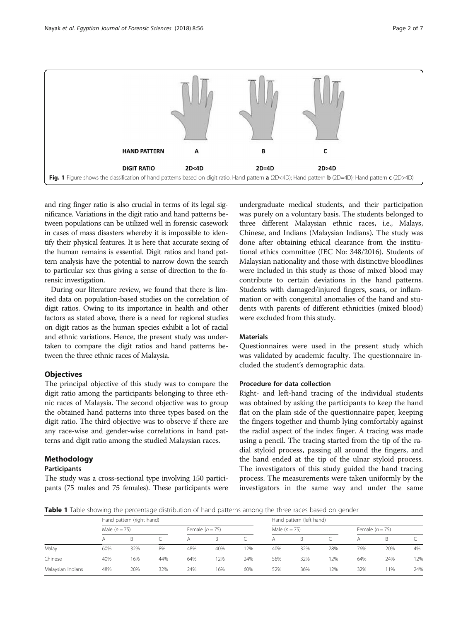<span id="page-1-0"></span>

and ring finger ratio is also crucial in terms of its legal significance. Variations in the digit ratio and hand patterns between populations can be utilized well in forensic casework in cases of mass disasters whereby it is impossible to identify their physical features. It is here that accurate sexing of the human remains is essential. Digit ratios and hand pattern analysis have the potential to narrow down the search to particular sex thus giving a sense of direction to the forensic investigation.

During our literature review, we found that there is limited data on population-based studies on the correlation of digit ratios. Owing to its importance in health and other factors as stated above, there is a need for regional studies on digit ratios as the human species exhibit a lot of racial and ethnic variations. Hence, the present study was undertaken to compare the digit ratios and hand patterns between the three ethnic races of Malaysia.

## **Objectives**

The principal objective of this study was to compare the digit ratio among the participants belonging to three ethnic races of Malaysia. The second objective was to group the obtained hand patterns into three types based on the digit ratio. The third objective was to observe if there are any race-wise and gender-wise correlations in hand patterns and digit ratio among the studied Malaysian races.

## Methodology

#### Participants

The study was a cross-sectional type involving 150 participants (75 males and 75 females). These participants were

undergraduate medical students, and their participation was purely on a voluntary basis. The students belonged to three different Malaysian ethnic races, i.e., Malays, Chinese, and Indians (Malaysian Indians). The study was done after obtaining ethical clearance from the institutional ethics committee (IEC No: 348/2016). Students of Malaysian nationality and those with distinctive bloodlines were included in this study as those of mixed blood may contribute to certain deviations in the hand patterns. Students with damaged/injured fingers, scars, or inflammation or with congenital anomalies of the hand and students with parents of different ethnicities (mixed blood) were excluded from this study.

## **Materials**

Questionnaires were used in the present study which was validated by academic faculty. The questionnaire included the student's demographic data.

## Procedure for data collection

Right- and left-hand tracing of the individual students was obtained by asking the participants to keep the hand flat on the plain side of the questionnaire paper, keeping the fingers together and thumb lying comfortably against the radial aspect of the index finger. A tracing was made using a pencil. The tracing started from the tip of the radial styloid process, passing all around the fingers, and the hand ended at the tip of the ulnar styloid process. The investigators of this study guided the hand tracing process. The measurements were taken uniformly by the investigators in the same way and under the same

Table 1 Table showing the percentage distribution of hand patterns among the three races based on gender

|                   | Hand pattern (right hand) |              |     |                   |     |     | Hand pattern (left hand) |              |     |                   |     |     |
|-------------------|---------------------------|--------------|-----|-------------------|-----|-----|--------------------------|--------------|-----|-------------------|-----|-----|
|                   | Male $(n = 75)$           |              |     | Female $(n = 75)$ |     |     | Male $(n = 75)$          |              |     | Female $(n = 75)$ |     |     |
|                   | А                         | <sub>B</sub> |     |                   |     |     | Α                        | <sub>B</sub> |     |                   | B   |     |
| Malay             | 60%                       | 32%          | 8%  | 48%               | 40% | 2%  | 40%                      | 32%          | 28% | 76%               | 20% | 4%  |
| Chinese           | 40%                       | 16%          | 44% | 64%               | 12% | 24% | 56%                      | 32%          | 2%  | 64%               | 24% | 12% |
| Malaysian Indians | 48%                       | 20%          | 32% | 24%               | 16% | 60% | 52%                      | 36%          | 2%  | 32%               | 11% | 24% |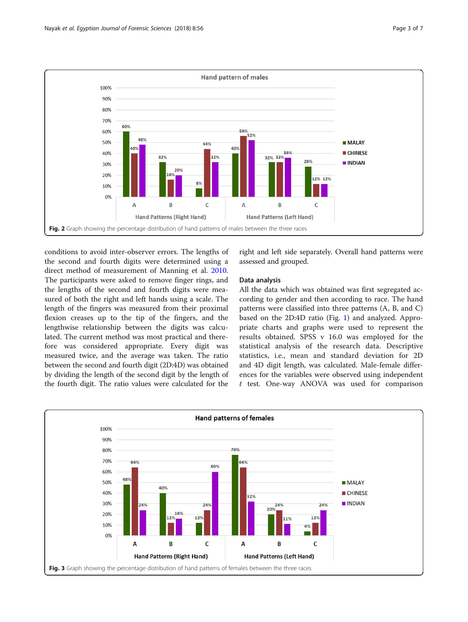<span id="page-2-0"></span>

conditions to avoid inter-observer errors. The lengths of the second and fourth digits were determined using a direct method of measurement of Manning et al. [2010](#page-6-0). The participants were asked to remove finger rings, and the lengths of the second and fourth digits were measured of both the right and left hands using a scale. The length of the fingers was measured from their proximal flexion creases up to the tip of the fingers, and the lengthwise relationship between the digits was calculated. The current method was most practical and therefore was considered appropriate. Every digit was measured twice, and the average was taken. The ratio between the second and fourth digit (2D:4D) was obtained by dividing the length of the second digit by the length of the fourth digit. The ratio values were calculated for the

right and left side separately. Overall hand patterns were assessed and grouped.

#### Data analysis

All the data which was obtained was first segregated according to gender and then according to race. The hand patterns were classified into three patterns (A, B, and C) based on the 2D:4D ratio (Fig. [1\)](#page-1-0) and analyzed. Appropriate charts and graphs were used to represent the results obtained. SPSS v 16.0 was employed for the statistical analysis of the research data. Descriptive statistics, i.e., mean and standard deviation for 2D and 4D digit length, was calculated. Male-female differences for the variables were observed using independent t test. One-way ANOVA was used for comparison

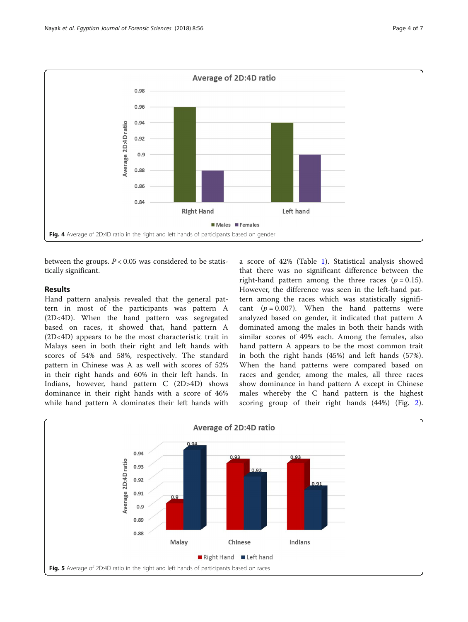<span id="page-3-0"></span>

between the groups.  $P < 0.05$  was considered to be statistically significant.

## Results

Hand pattern analysis revealed that the general pattern in most of the participants was pattern A (2D<4D). When the hand pattern was segregated based on races, it showed that, hand pattern A (2D<4D) appears to be the most characteristic trait in Malays seen in both their right and left hands with scores of 54% and 58%, respectively. The standard pattern in Chinese was A as well with scores of 52% in their right hands and 60% in their left hands. In Indians, however, hand pattern C (2D>4D) shows dominance in their right hands with a score of 46% while hand pattern A dominates their left hands with

a score of 42% (Table [1\)](#page-1-0). Statistical analysis showed that there was no significant difference between the right-hand pattern among the three races ( $p = 0.15$ ). However, the difference was seen in the left-hand pattern among the races which was statistically significant  $(p = 0.007)$ . When the hand patterns were analyzed based on gender, it indicated that pattern A dominated among the males in both their hands with similar scores of 49% each. Among the females, also hand pattern A appears to be the most common trait in both the right hands (45%) and left hands (57%). When the hand patterns were compared based on races and gender, among the males, all three races show dominance in hand pattern A except in Chinese males whereby the C hand pattern is the highest scoring group of their right hands (44%) (Fig. [2](#page-2-0)).

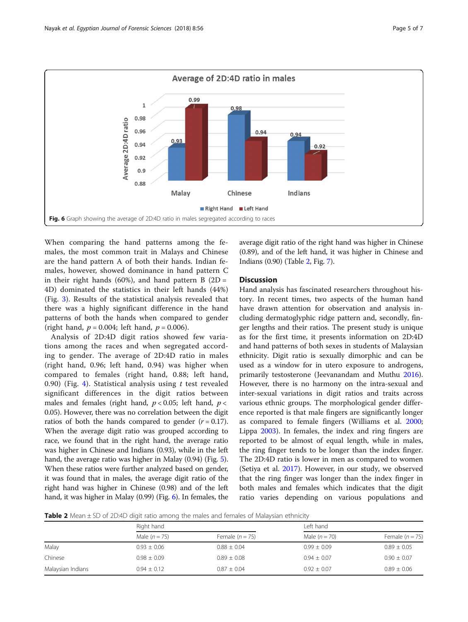

When comparing the hand patterns among the females, the most common trait in Malays and Chinese are the hand pattern A of both their hands. Indian females, however, showed dominance in hand pattern C in their right hands (60%), and hand pattern B  $(2D =$ 4D) dominated the statistics in their left hands (44%) (Fig. [3\)](#page-2-0). Results of the statistical analysis revealed that there was a highly significant difference in the hand patterns of both the hands when compared to gender (right hand,  $p = 0.004$ ; left hand,  $p = 0.006$ ).

Analysis of 2D:4D digit ratios showed few variations among the races and when segregated according to gender. The average of 2D:4D ratio in males (right hand, 0.96; left hand, 0.94) was higher when compared to females (right hand, 0.88; left hand, 0.90) (Fig. [4\)](#page-3-0). Statistical analysis using  $t$  test revealed significant differences in the digit ratios between males and females (right hand,  $p < 0.05$ ; left hand,  $p <$ 0.05). However, there was no correlation between the digit ratios of both the hands compared to gender  $(r = 0.17)$ . When the average digit ratio was grouped according to race, we found that in the right hand, the average ratio was higher in Chinese and Indians (0.93), while in the left hand, the average ratio was higher in Malay (0.94) (Fig. [5](#page-3-0)). When these ratios were further analyzed based on gender, it was found that in males, the average digit ratio of the right hand was higher in Chinese (0.98) and of the left hand, it was higher in Malay (0.99) (Fig. 6). In females, the average digit ratio of the right hand was higher in Chinese (0.89), and of the left hand, it was higher in Chinese and Indians (0.90) (Table 2, Fig. [7\)](#page-5-0).

## **Discussion**

Hand analysis has fascinated researchers throughout history. In recent times, two aspects of the human hand have drawn attention for observation and analysis including dermatoglyphic ridge pattern and, secondly, finger lengths and their ratios. The present study is unique as for the first time, it presents information on 2D:4D and hand patterns of both sexes in students of Malaysian ethnicity. Digit ratio is sexually dimorphic and can be used as a window for in utero exposure to androgens, primarily testosterone (Jeevanandam and Muthu [2016](#page-6-0)). However, there is no harmony on the intra-sexual and inter-sexual variations in digit ratios and traits across various ethnic groups. The morphological gender difference reported is that male fingers are significantly longer as compared to female fingers (Williams et al. [2000](#page-6-0); Lippa [2003](#page-6-0)). In females, the index and ring fingers are reported to be almost of equal length, while in males, the ring finger tends to be longer than the index finger. The 2D:4D ratio is lower in men as compared to women (Setiya et al. [2017](#page-6-0)). However, in our study, we observed that the ring finger was longer than the index finger in both males and females which indicates that the digit ratio varies depending on various populations and

**Table 2** Mean  $\pm$  SD of 2D:4D digit ratio among the males and females of Malaysian ethnicity

|                   | Right hand      |                   | Left hand       |                   |  |  |  |
|-------------------|-----------------|-------------------|-----------------|-------------------|--|--|--|
|                   | Male $(n=75)$   | Female $(n = 75)$ | Male $(n = 70)$ | Female $(n = 75)$ |  |  |  |
| Malay             | $0.93 \pm 0.06$ | $0.88 \pm 0.04$   | $0.99 \pm 0.09$ | $0.89 \pm 0.05$   |  |  |  |
| Chinese           | $0.98 \pm 0.09$ | $0.89 \pm 0.08$   | $0.94 \pm 0.07$ | $0.90 \pm 0.07$   |  |  |  |
| Malaysian Indians | $0.94 \pm 0.12$ | $0.87 + 0.04$     | $0.92 \pm 0.07$ | $0.89 \pm 0.06$   |  |  |  |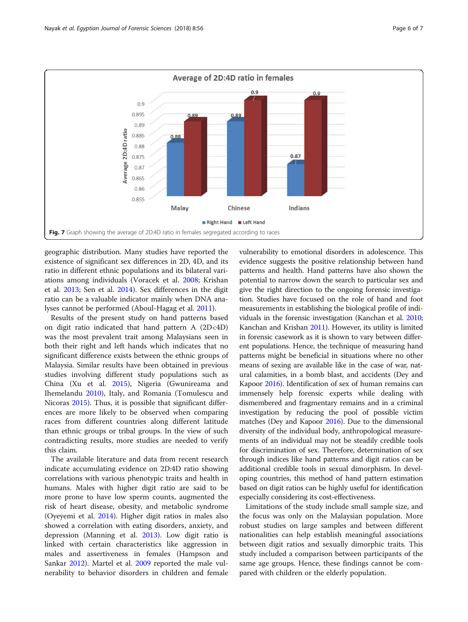<span id="page-5-0"></span>

geographic distribution. Many studies have reported the existence of significant sex differences in 2D, 4D, and its ratio in different ethnic populations and its bilateral variations among individuals (Voracek et al. [2008](#page-6-0); Krishan et al. [2013;](#page-6-0) Sen et al. [2014](#page-6-0)). Sex differences in the digit ratio can be a valuable indicator mainly when DNA analyses cannot be performed (Aboul-Hagag et al. [2011](#page-6-0)).

Results of the present study on hand patterns based on digit ratio indicated that hand pattern A (2D<4D) was the most prevalent trait among Malaysians seen in both their right and left hands which indicates that no significant difference exists between the ethnic groups of Malaysia. Similar results have been obtained in previous studies involving different study populations such as China (Xu et al. [2015](#page-6-0)), Nigeria (Gwunireama and Ihemelandu [2010](#page-6-0)), Italy, and Romania (Tomulescu and Nicoras [2015](#page-6-0)). Thus, it is possible that significant differences are more likely to be observed when comparing races from different countries along different latitude than ethnic groups or tribal groups. In the view of such contradicting results, more studies are needed to verify this claim.

The available literature and data from recent research indicate accumulating evidence on 2D:4D ratio showing correlations with various phenotypic traits and health in humans. Males with higher digit ratio are said to be more prone to have low sperm counts, augmented the risk of heart disease, obesity, and metabolic syndrome (Oyeyemi et al. [2014](#page-6-0)). Higher digit ratios in males also showed a correlation with eating disorders, anxiety, and depression (Manning et al. [2013\)](#page-6-0). Low digit ratio is linked with certain characteristics like aggression in males and assertiveness in females (Hampson and Sankar [2012\)](#page-6-0). Martel et al. [2009](#page-6-0) reported the male vulnerability to behavior disorders in children and female vulnerability to emotional disorders in adolescence. This evidence suggests the positive relationship between hand patterns and health. Hand patterns have also shown the potential to narrow down the search to particular sex and give the right direction to the ongoing forensic investigation. Studies have focused on the role of hand and foot measurements in establishing the biological profile of individuals in the forensic investigation (Kanchan et al. [2010](#page-6-0); Kanchan and Krishan [2011](#page-6-0)). However, its utility is limited in forensic casework as it is shown to vary between different populations. Hence, the technique of measuring hand patterns might be beneficial in situations where no other means of sexing are available like in the case of war, natural calamities, in a bomb blast, and accidents (Dey and Kapoor [2016\)](#page-6-0). Identification of sex of human remains can immensely help forensic experts while dealing with dismembered and fragmentary remains and in a criminal investigation by reducing the pool of possible victim matches (Dey and Kapoor [2016\)](#page-6-0). Due to the dimensional diversity of the individual body, anthropological measurements of an individual may not be steadily credible tools for discrimination of sex. Therefore, determination of sex through indices like hand patterns and digit ratios can be additional credible tools in sexual dimorphism. In developing countries, this method of hand pattern estimation based on digit ratios can be highly useful for identification especially considering its cost-effectiveness.

Limitations of the study include small sample size, and the focus was only on the Malaysian population. More robust studies on large samples and between different nationalities can help establish meaningful associations between digit ratios and sexually dimorphic traits. This study included a comparison between participants of the same age groups. Hence, these findings cannot be compared with children or the elderly population.